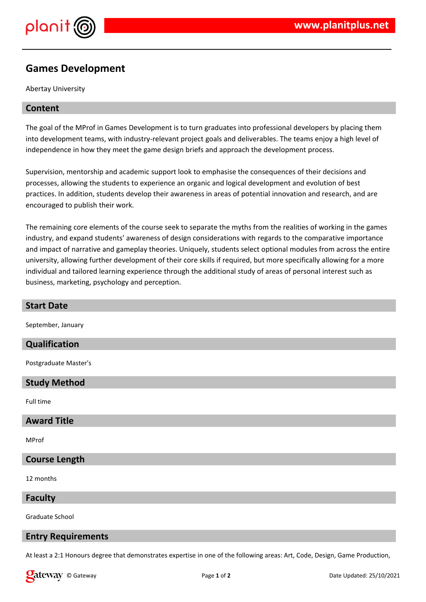

# **Games Development**

Abertay University

# **Content**

The goal of the MProf in Games Development is to turn graduates into professional developers by placing them into development teams, with industry-relevant project goals and deliverables. The teams enjoy a high level of independence in how they meet the game design briefs and approach the development process.

Supervision, mentorship and academic support look to emphasise the consequences of their decisions and processes, allowing the students to experience an organic and logical development and evolution of best practices. In addition, students develop their awareness in areas of potential innovation and research, and are encouraged to publish their work.

The remaining core elements of the course seek to separate the myths from the realities of working in the games industry, and expand students' awareness of design considerations with regards to the comparative importance and impact of narrative and gameplay theories. Uniquely, students select optional modules from across the entire university, allowing further development of their core skills if required, but more specifically allowing for a more individual and tailored learning experience through the additional study of areas of personal interest such as business, marketing, psychology and perception.

| <b>Start Date</b>     |
|-----------------------|
| September, January    |
| Qualification         |
| Postgraduate Master's |
| <b>Study Method</b>   |
| Full time             |
| <b>Award Title</b>    |
| MProf                 |

## **Course Length**

12 months

**Faculty**

Graduate School

### **Entry Requirements**

At least a 2:1 Honours degree that demonstrates expertise in one of the following areas: Art, Code, Design, Game Production,